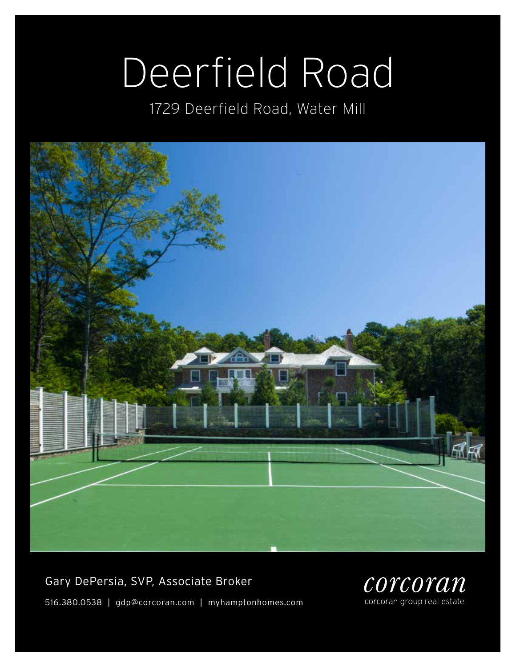# Deerfield Road

1729 Deerfield Road, Water Mill



Gary DePersia, SVP, Associate Broker 516.380.0538 | gdp@corcoran.com | myhamptonhomes.com

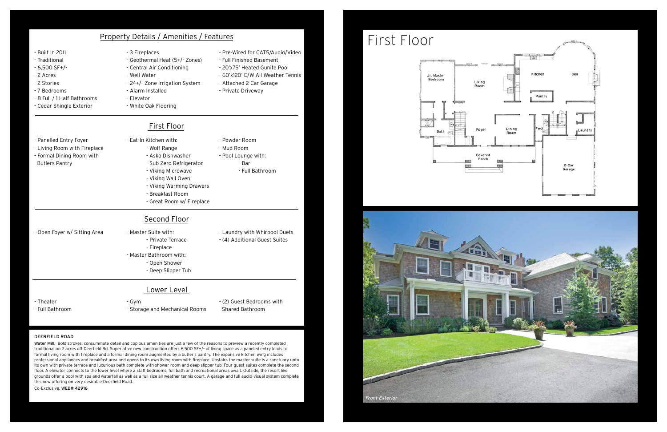#### deerfield road

Water Mill. Bold strokes, consummate detail and copious amenities are just a few of the reasons to preview a recently completed traditional on 2 acres off Deerfield Rd. Superlative new construction offers 6,500 SF+/- of living space as a paneled entry leads to formal living room with fireplace and a formal dining room augmented by a butler's pantry. The expansive kitchen wing includes professional appliances and breakfast area and opens to its own living room with fireplace. Upstairs the master suite is a sanctuary unto its own with private terrace and luxurious bath complete with shower room and deep slipper tub. Four guest suites complete the second floor. A elevator connects to the lower level where 2 staff bedrooms, full bath and recreational areas await. Outside, the resort like grounds offer a pool with spa and waterfall as well as a full size all weather tennis court. A garage and full audio-visual system complete this new offering on very desirable Deerfield Road.

Co-Exclusive. WEB# 42916





| <b>Property Details / Amenities / Features</b>                                                                                                            |                                                                                                                                                                                                                                |                                                                                                                                                                                    | First Floor                                 |
|-----------------------------------------------------------------------------------------------------------------------------------------------------------|--------------------------------------------------------------------------------------------------------------------------------------------------------------------------------------------------------------------------------|------------------------------------------------------------------------------------------------------------------------------------------------------------------------------------|---------------------------------------------|
| - Built In 2011<br>- Traditional<br>$-6,500$ SF+/-<br>- 2 Acres<br>- 2 Stories<br>- 7 Bedrooms<br>- 8 Full / 1 Half Bathrooms<br>- Cedar Shingle Exterior | - 3 Fireplaces<br>- Geothermal Heat (5+/- Zones)<br>- Central Air Conditioning<br>- Well Water<br>- 24+/- Zone Irrigation System<br>- Alarm Installed<br>- Elevator<br>- White Oak Flooring                                    | - Pre-Wired for CAT5/Audio/Video<br>- Full Finished Basement<br>- 20'x75' Heated Gunite Pool<br>- 60'x120' E/W All Weather Tennis<br>- Attached 2-Car Garage<br>- Private Driveway | Jr. Master<br>Bedroom<br>Living<br>Room     |
| - Panelled Entry Foyer<br>- Living Room with Fireplace<br>- Formal Dining Room with<br><b>Butlers Pantry</b>                                              | First Floor<br>- Eat-In Kitchen with:<br>- Wolf Range<br>- Asko Dishwasher<br>- Sub Zero Refrigerator<br>- Viking Microwave<br>- Viking Wall Oven<br>- Viking Warming Drawers<br>- Breakfast Room<br>- Great Room w/ Fireplace | - Powder Room<br>- Mud Room<br>- Pool Lounge with:<br>- Bar<br>- Full Bathroom                                                                                                     | Foyer<br>Bath<br>و پر د<br>Covered<br>Porch |
| - Open Foyer w/ Sitting Area                                                                                                                              | Second Floor<br>- Master Suite with:<br>- Private Terrace<br>- Fireplace<br>- Master Bathroom with:<br>- Open Shower<br>- Deep Slipper Tub                                                                                     | - Laundry with Whirpool Duets<br>- (4) Additional Guest Suites                                                                                                                     |                                             |
| - Theater<br>- Full Bathroom                                                                                                                              | Lower Level<br>- Gym<br>- Storage and Mechanical Rooms                                                                                                                                                                         | - (2) Guest Bedrooms with<br>Shared Bathroom                                                                                                                                       |                                             |

Front Exterior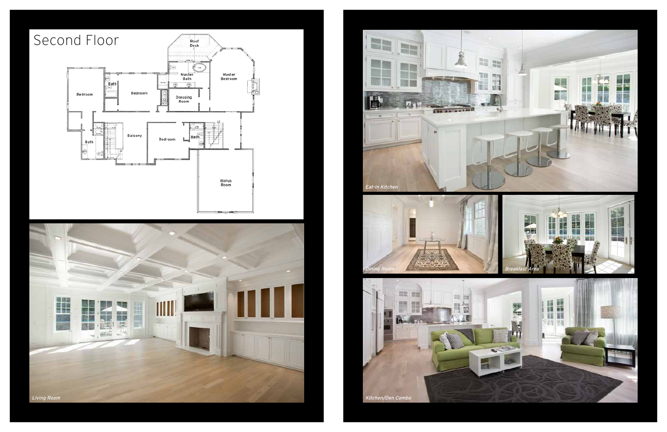



### Second Floor

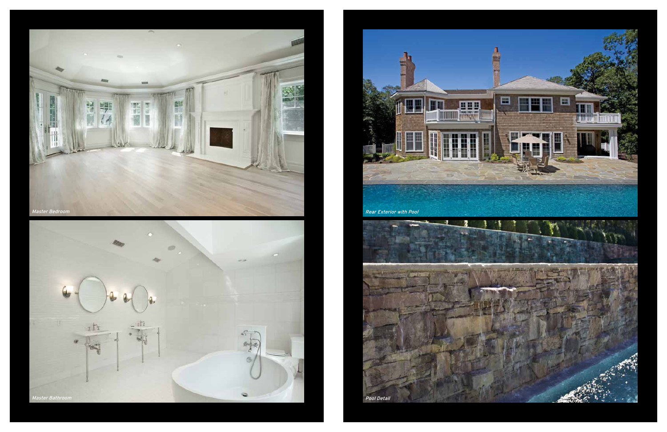